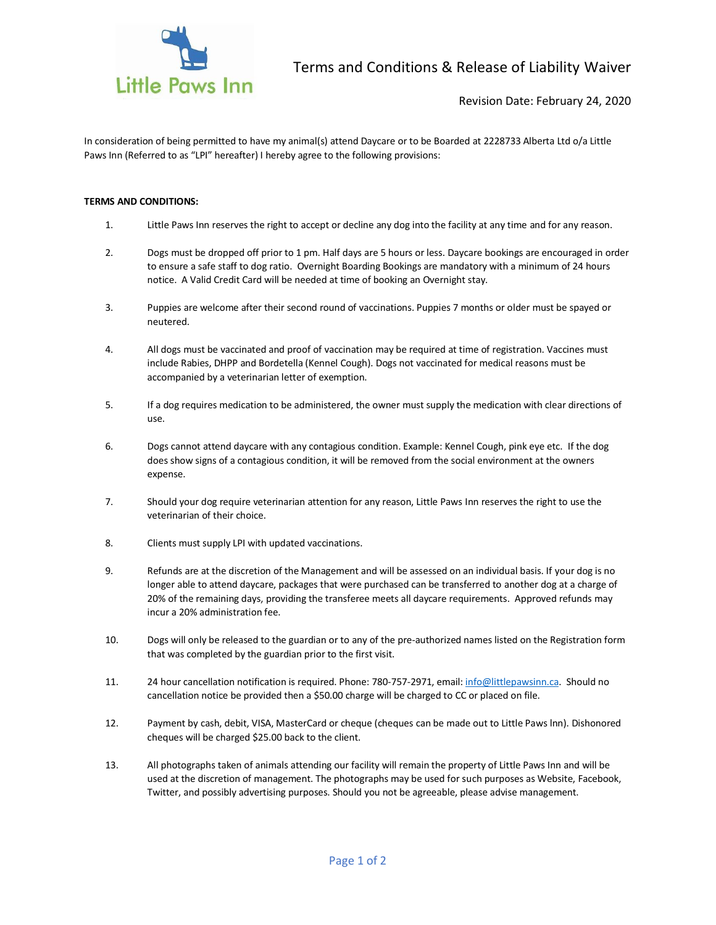

Revision Date: February 24, 2020

In consideration of being permitted to have my animal(s) attend Daycare or to be Boarded at 2228733 Alberta Ltd o/a Little Paws Inn (Referred to as "LPI" hereafter) I hereby agree to the following provisions:

## **TERMS AND CONDITIONS:**

- 1. Little Paws Inn reserves the right to accept or decline any dog into the facility at any time and for any reason.
- 2. Dogs must be dropped off prior to 1 pm. Half days are 5 hours or less. Daycare bookings are encouraged in order to ensure a safe staff to dog ratio. Overnight Boarding Bookings are mandatory with a minimum of 24 hours notice. A Valid Credit Card will be needed at time of booking an Overnight stay.
- 3. Puppies are welcome after their second round of vaccinations. Puppies 7 months or older must be spayed or neutered.
- 4. All dogs must be vaccinated and proof of vaccination may be required at time of registration. Vaccines must include Rabies, DHPP and Bordetella (Kennel Cough). Dogs not vaccinated for medical reasons must be accompanied by a veterinarian letter of exemption.
- 5. If a dog requires medication to be administered, the owner must supply the medication with clear directions of use.
- 6. Dogs cannot attend daycare with any contagious condition. Example: Kennel Cough, pink eye etc. If the dog does show signs of a contagious condition, it will be removed from the social environment at the owners expense.
- 7. Should your dog require veterinarian attention for any reason, Little Paws Inn reserves the right to use the veterinarian of their choice.
- 8. Clients must supply LPI with updated vaccinations.
- 9. Refunds are at the discretion of the Management and will be assessed on an individual basis. If your dog is no longer able to attend daycare, packages that were purchased can be transferred to another dog at a charge of 20% of the remaining days, providing the transferee meets all daycare requirements. Approved refunds may incur a 20% administration fee.
- 10. Dogs will only be released to the guardian or to any of the pre-authorized names listed on the Registration form that was completed by the guardian prior to the first visit.
- 11. 24 hour cancellation notification is required. Phone: 780-757-2971, email: [info@littlepawsinn.ca.](mailto:info@littlepawsinn.ca) Should no cancellation notice be provided then a \$50.00 charge will be charged to CC or placed on file.
- 12. Payment by cash, debit, VISA, MasterCard or cheque (cheques can be made out to Little Paws lnn). Dishonored cheques will be charged \$25.00 back to the client.
- 13. All photographs taken of animals attending our facility will remain the property of Little Paws Inn and will be used at the discretion of management. The photographs may be used for such purposes as Website, Facebook, Twitter, and possibly advertising purposes. Should you not be agreeable, please advise management.